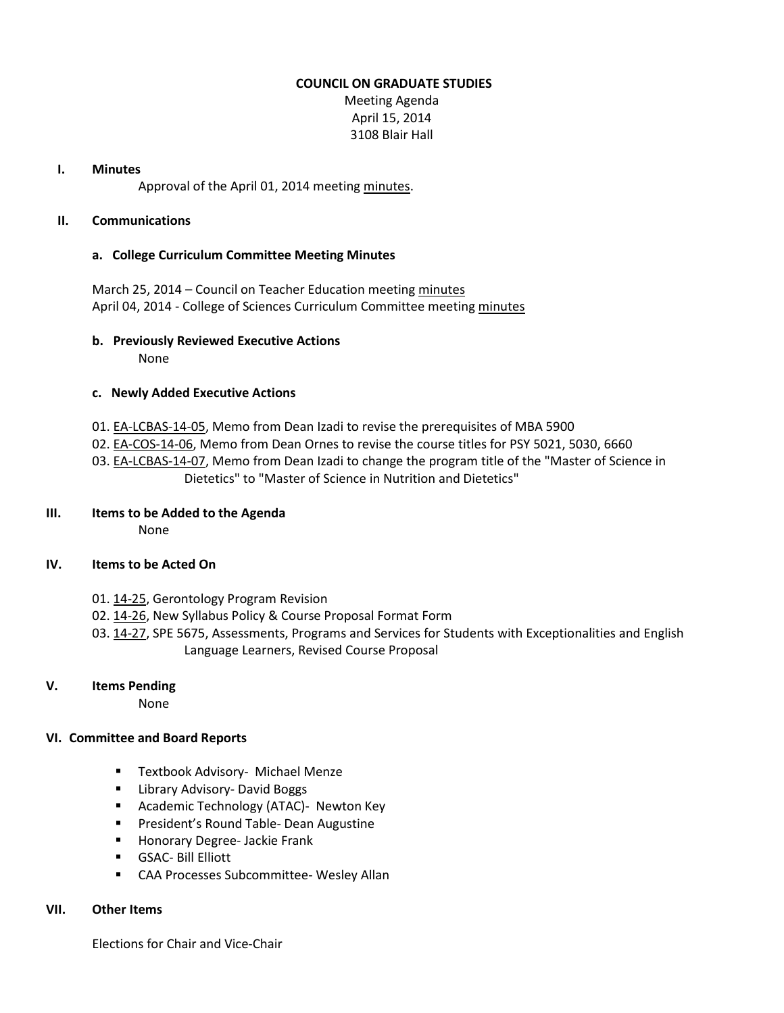### **COUNCIL ON GRADUATE STUDIES**

Meeting Agenda April 15, 2014 3108 Blair Hall

#### **I. Minutes**

Approval of the April 01, 2014 meeting [minutes.](http://castle.eiu.edu/eiucgs/currentminutes/Minutes04-01-14.pdf)

#### **II. Communications**

### **a. College Curriculum Committee Meeting Minutes**

March 25, 2014 – Council on Teacher Education meeting [minutes](http://castle.eiu.edu/~eiucgs/currentagendaitems/COTEMin03-25-14.pdf) April 04, 2014 - College of Sciences Curriculum Committee meetin[g minutes](http://castle.eiu.edu/~eiucgs/currentagendaitems/COSMin04-04-14.pdf)

## **b. Previously Reviewed Executive Actions**

None

### **c. Newly Added Executive Actions**

- 01[. EA-LCBAS-14-05,](http://castle.eiu.edu/~eiucgs/exec-actions/EA-LCBAS-14-05.pdf) Memo from Dean Izadi to revise the prerequisites of MBA 5900
- 02[. EA-COS-14-06,](http://castle.eiu.edu/~eiucgs/exec-actions/EA-COS-14-06.pdf) Memo from Dean Ornes to revise the course titles for PSY 5021, 5030, 6660
- 03[. EA-LCBAS-14-07,](http://castle.eiu.edu/~eiucgs/exec-actions/EA-LCBAS-14-07.pdf) Memo from Dean Izadi to change the program title of the "Master of Science in Dietetics" to "Master of Science in Nutrition and Dietetics"

### **III. Items to be Added to the Agenda**

None

### **IV. Items to be Acted On**

- 01[. 14-25,](http://castle.eiu.edu/~eiucgs/currentagendaitems/agenda14-25.pdf) Gerontology Program Revision
- 02[. 14-26,](http://castle.eiu.edu/~eiucgs/currentagendaitems/agenda14-26.pdf) New Syllabus Policy & Course Proposal Format Form
- 03[. 14-27,](http://castle.eiu.edu/~eiucgs/currentagendaitems/agenda14-27.pdf) SPE 5675, Assessments, Programs and Services for Students with Exceptionalities and English Language Learners, Revised Course Proposal

### **V. Items Pending**

None

### **VI. Committee and Board Reports**

- **Textbook Advisory- Michael Menze**
- **E** Library Advisory- David Boggs
- **Academic Technology (ATAC)- Newton Key**
- **Paramer's Round Table- Dean Augustine**
- **Honorary Degree-Jackie Frank**
- GSAC- Bill Elliott
- CAA Processes Subcommittee- Wesley Allan

### **VII. Other Items**

Elections for Chair and Vice-Chair